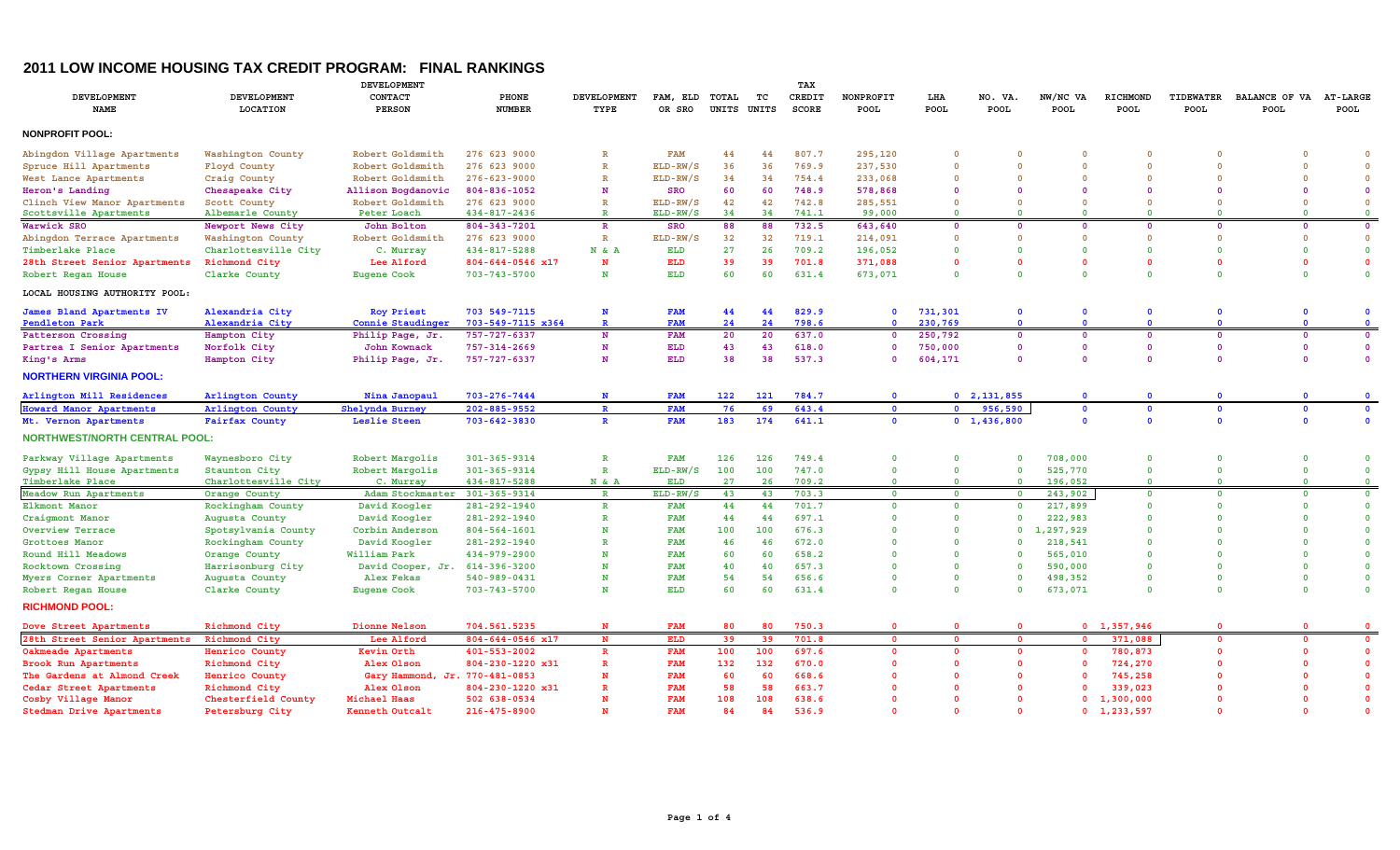## **2011 LOW INCOME HOUSING TAX CREDIT PROGRAM: FINAL RANKINGS**

| DEVELOPMENT                          |                         |                                |                        |                         | TAX                |                |             |                 |                   |              |                         |                  |                     |                          |                       |                                |  |  |
|--------------------------------------|-------------------------|--------------------------------|------------------------|-------------------------|--------------------|----------------|-------------|-----------------|-------------------|--------------|-------------------------|------------------|---------------------|--------------------------|-----------------------|--------------------------------|--|--|
| <b>DEVELOPMENT</b><br><b>NAME</b>    | DEVELOPMENT<br>LOCATION | CONTACT<br><b>PERSON</b>       | PHONE<br><b>NUMBER</b> | DEVELOPMENT<br>TYPE     | FAM, ELD<br>OR SRO | TOTAL<br>UNITS | TC<br>UNITS | CREDIT<br>SCORE | NONPROFIT<br>POOL | LHA<br>POOL  | NO. VA.<br><b>POOL</b>  | NW/NC VA<br>POOL | RICHMOND<br>POOL    | TIDEWATER<br><b>POOL</b> | BALANCE OF VA<br>POOL | <b>AT-LARGE</b><br><b>POOL</b> |  |  |
|                                      |                         |                                |                        |                         |                    |                |             |                 |                   |              |                         |                  |                     |                          |                       |                                |  |  |
| <b>NONPROFIT POOL:</b>               |                         |                                |                        |                         |                    |                |             |                 |                   |              |                         |                  |                     |                          |                       |                                |  |  |
| Abingdon Village Apartments          | Washington County       | Robert Goldsmith               | 276 623 9000           | $\overline{\mathbf{R}}$ | <b>FAM</b>         | 44             | 44          | 807.7           | 295,120           | $\Omega$     | $\Omega$                | $\Omega$         | $\Omega$            |                          |                       | $\Omega$                       |  |  |
| Spruce Hill Apartments               | Floyd County            | Robert Goldsmith               | 276 623 9000           | $\mathbb{R}$            | ELD-RW/S           | 36             | 36          | 769.9           | 237,530           | $\Omega$     | $\Omega$                | $\Omega$         | $\Omega$            | $\mathbf{0}$             | $\Omega$              | $\Omega$                       |  |  |
| West Lance Apartments                | Craig County            | Robert Goldsmith               | $276 - 623 - 9000$     | $\mathbb{R}$            | ELD-RW/S           | 34             | 34          | 754.4           | 233,068           | $\Omega$     | $\Omega$                | $\Omega$         | $\Omega$            | $\Omega$                 | $\Omega$              | $\mathbf{0}$                   |  |  |
| Heron's Landing                      | Chesapeake City         | Allison Bogdanovic             | 804-836-1052           | N                       | <b>SRO</b>         | 60             | 60          | 748.9           | 578,868           |              | $\Omega$                | $\Omega$         | $\Omega$            | $\Omega$                 | $\Omega$              | $\Omega$                       |  |  |
| Clinch View Manor Apartments         | Scott County            | Robert Goldsmith               | 276 623 9000           | $\mathbb{R}$            | ELD-RW/S           | 42             | 42          | 742.8           | 285,551           | $\Omega$     | $\Omega$                | $\Omega$         | $\Omega$            | $\Omega$                 | $\Omega$              | $\Omega$                       |  |  |
| Scottsville Apartments               | Albemarle County        | Peter Loach                    | 434-817-2436           | $\mathbb{R}$            | ELD-RW/S           | 34             | 34          | 741.1           | 99,000            | $\Omega$     | $\Omega$                | $\Omega$         | $\Omega$            | $\Omega$                 | $\Omega$              | $\Omega$                       |  |  |
| Warwick SRO                          | Newport News City       | John Bolton                    | 804-343-7201           | $\mathbb R$             | <b>SRO</b>         | 88             | 88          | 732.5           | 643,640           | $\Omega$     | $\overline{\mathbf{0}}$ | $\mathbf 0$      | $\mathbf 0$         | $\Omega$                 | $\Omega$              | $\overline{\mathbf{0}}$        |  |  |
| Abingdon Terrace Apartments          | Washington County       | Robert Goldsmith               | 276 623 9000           | $\mathbb{R}$            | ELD-RW/S           | 32             | 32          | 719.1           | 214,091           | $\Omega$     | $\overline{0}$          | $\Omega$         | $\Omega$            | $\Omega$                 | $\Omega$              | $\mathbf 0$                    |  |  |
| Timberlake Place                     | Charlottesville City    | C. Murray                      | 434-817-5288           | N & A                   | ELD                | 27             | 26          | 709.2           | 196,052           | $\Omega$     | $\overline{\mathbf{0}}$ | $\mathbf{0}$     | $\Omega$            | $\Omega$                 | $\mathbf{0}$          | $\mathbf 0$                    |  |  |
| 28th Street Senior Apartments        | Richmond City           | Lee Alford                     | 804-644-0546 x17       | N                       | <b>ELD</b>         | 39             | 39          | 701.8           | 371,088           |              | $\mathbf{0}$            | $\Omega$         | $\Omega$            | $\Omega$                 | $\Omega$              | $\mathbf{0}$                   |  |  |
| Robert Regan House                   | Clarke County           | Eugene Cook                    | 703-743-5700           | N                       | <b>ELD</b>         | 60             | 60          | 631.4           | 673,071           | $\Omega$     | $\overline{0}$          | $\Omega$         | $\Omega$            | $\Omega$                 | $\Omega$              | $\mathbf{0}$                   |  |  |
| LOCAL HOUSING AUTHORITY POOL:        |                         |                                |                        |                         |                    |                |             |                 |                   |              |                         |                  |                     |                          |                       |                                |  |  |
| James Bland Apartments IV            | Alexandria City         | <b>Roy Priest</b>              | 703 549-7115           | N                       | <b>FAM</b>         | 44             | 44          | 829.9           | $\Omega$          | 731,301      | $\overline{\mathbf{0}}$ | $\mathbf{0}$     | $\mathbf 0$         | $\mathbf{0}$             | $\Omega$              |                                |  |  |
| Pendleton Park                       | Alexandria City         | Connie Staudinger              | 703-549-7115 x364      | $\mathbf{R}$            | <b>FAM</b>         | 24             | 24          | 798.6           | $\Omega$          | 230,769      | $\Omega$                | $\mathbf{0}$     | $\Omega$            | $\Omega$                 | $\Omega$              | $\mathbf{0}$                   |  |  |
| Patterson Crossing                   | Hampton City            | Philip Page, Jr.               | 757-727-6337           | N                       | <b>FAM</b>         | 20             | 20          | 637.0           | $\Omega$          | 250,792      | $\overline{\mathbf{0}}$ | $\mathbf 0$      | $\mathbf 0$         | $\Omega$                 | $\overline{0}$        | $\overline{\mathbf{0}}$        |  |  |
| Partrea I Senior Apartments          | Norfolk City            | John Kownack                   | 757-314-2669           | N                       | ELD                | 43             | 43          | 618.0           | $\Omega$          | 750,000      | $\Omega$                | $\overline{0}$   | $\Omega$            | $\Omega$                 | $\Omega$              | $\mathbf 0$                    |  |  |
| King's Arms                          | Hampton City            | Philip Page, Jr.               | 757-727-6337           | N                       | ELD                | 38             | 38          | 537.3           | $\Omega$          | 604,171      | $\Omega$                | $\Omega$         | $\Omega$            | $\Omega$                 | $\Omega$              | $\Omega$                       |  |  |
| <b>NORTHERN VIRGINIA POOL:</b>       |                         |                                |                        |                         |                    |                |             |                 |                   |              |                         |                  |                     |                          |                       |                                |  |  |
| Arlington Mill Residences            | Arlington County        | Nina Janopaul                  | 703-276-7444           | N                       | <b>FAM</b>         | 122            | 121         | 784.7           | $\Omega$          |              | 0, 2, 131, 855          | $\Omega$         | $\Omega$            | $\Omega$                 |                       |                                |  |  |
| <b>Howard Manor Apartments</b>       | Arlington County        | <b>Shelynda Burney</b>         | 202-885-9552           | $\mathbf{R}$            | <b>FAM</b>         | 76             | 69          | 643.4           | $\mathbf{0}$      | $\mathbf{0}$ | 956,590                 | $\mathbf 0$      | $\mathbf 0$         | $\mathbf{0}$             | $\Omega$              | $\mathbf 0$                    |  |  |
| Mt. Vernon Apartments                | <b>Fairfax County</b>   | Leslie Steen                   | 703-642-3830           | $\mathbf R$             | <b>FAM</b>         | 183            | 174         | 641.1           | $\mathbf{0}$      |              | $0 \quad 1,436,800$     | $\mathbf{o}$     | $\mathbf{0}$        | $\mathbf{0}$             | $\mathbf{0}$          | $\mathbf{0}$                   |  |  |
| <b>NORTHWEST/NORTH CENTRAL POOL:</b> |                         |                                |                        |                         |                    |                |             |                 |                   |              |                         |                  |                     |                          |                       |                                |  |  |
| Parkway Village Apartments           | Waynesboro City         | Robert Margolis                | 301-365-9314           | $\mathbb{R}$            | <b>FAM</b>         | 126            | 126         | 749.4           | $\mathbf{0}$      | $\Omega$     | $\overline{0}$          | 708,000          | $\Omega$            | $\Omega$                 | $\Omega$              | $\mathbf{0}$                   |  |  |
| Gypsy Hill House Apartments          | Staunton City           | Robert Margolis                | 301-365-9314           | $\mathbb{R}$            | ELD-RW/S           | 100            | 100         | 747.0           | $\Omega$          | $\Omega$     | $\mathbf 0$             | 525,770          | $\Omega$            | $\Omega$                 | $\Omega$              | $\Omega$                       |  |  |
| Timberlake Place                     | Charlottesville City    | C. Murray                      | 434-817-5288           | N & A                   | ELD                | 27             | 26          | 709.2           | $\Omega$          | $\Omega$     | $\mathbf 0$             | 196,052          | $\Omega$            | $\Omega$                 | $\Omega$              | $\mathbf{O}$                   |  |  |
| Meadow Run Apartments                | Orange County           | Adam Stockmaster 301-365-9314  |                        | $\mathbb{R}$            | ELD-RW/            | 43             | 43          | 703.3           | $\Omega$          | $\Omega$     | $\overline{\mathbf{0}}$ | 243,902          | $\Omega$            | $\Omega$                 | $\Omega$              | $\mathbf{O}$                   |  |  |
| Elkmont Manor                        | Rockingham County       | David Koogler                  | 281-292-1940           | $\mathbb R$             | <b>FAM</b>         | 44             | 44          | 701.7           | $\Omega$          | $\Omega$     | $\mathbf 0$             | 217,899          | $\Omega$            | $\Omega$                 | $\Omega$              | $\mathbf{0}$                   |  |  |
| Craigmont Manor                      | Augusta County          | David Koogler                  | 281-292-1940           | $\mathbb{R}$            | <b>FAM</b>         | 44             | 44          | 697.1           | $\Omega$          | $\Omega$     | $\overline{0}$          | 222,983          | $\Omega$            | $\Omega$                 | $\Omega$              | $\Omega$                       |  |  |
| Overview Terrace                     | Spotsylvania County     | Corbin Anderson                | $804 - 564 - 1601$     | N                       | <b>FAM</b>         | 100            | 100         | 676.3           |                   |              | $\mathbf 0$             | 1,297,929        | $\Omega$            | $\Omega$                 | $\Omega$              | $\mathbf{0}$                   |  |  |
| Grottoes Manor                       | Rockingham County       | David Koogler                  | 281-292-1940           | R                       | <b>FAM</b>         | 46             | 46          | 672.0           |                   | $\Omega$     | $\Omega$                | 218,541          | $\Omega$            | $\Omega$                 | $\Omega$              | $\Omega$                       |  |  |
| Round Hill Meadows                   | Orange County           | William Park                   | 434-979-2900           | N                       | <b>FAM</b>         | 60             | 60          | 658.2           |                   | $\Omega$     | $\Omega$                | 565,010          | $\Omega$            | $\Omega$                 | $\Omega$              | $\mathbf{0}$                   |  |  |
| Rocktown Crossing                    | Harrisonburg City       | David Cooper, Jr. 614-396-3200 |                        | N                       | <b>FAM</b>         | 40             | 40          | 657.3           |                   | $\mathbf 0$  | $\overline{\mathbf{0}}$ | 590,000          | $\Omega$            | $\Omega$                 | $\Omega$              | $\mathbf 0$                    |  |  |
| Myers Corner Apartments              | Augusta County          | Alex Fekas                     | 540-989-0431           | N                       | <b>FAM</b>         | 54             | 54          | 656.6           | $\Omega$          | $\Omega$     | $\Omega$                | 498,352          | $\Omega$            | $\Omega$                 | $\Omega$              | $\mathbf 0$                    |  |  |
| Robert Regan House                   | Clarke County           | <b>Eugene Cook</b>             | $703 - 743 - 5700$     | N                       | <b>ELD</b>         | 60             | 60          | 631.4           | $\Omega$          | $\Omega$     | $\mathbf 0$             | 673,071          | $\Omega$            | $\Omega$                 | $\Omega$              | $\mathbf 0$                    |  |  |
| <b>RICHMOND POOL:</b>                |                         |                                |                        |                         |                    |                |             |                 |                   |              |                         |                  |                     |                          |                       |                                |  |  |
| Dove Street Apartments               | Richmond City           | Dionne Nelson                  | 704.561.5235           | N                       | <b>FAM</b>         | 80             | 80          | 750.3           | $\Omega$          | $\Omega$     | $\overline{\mathbf{0}}$ |                  | 0, 1, 357, 946      | $\Omega$                 | $\Omega$              | $\Omega$                       |  |  |
| 28th Street Senior Apartments        | Richmond City           | Lee Alford                     | $804 - 644 - 0546$ x17 | $\mathbf{N}$            | <b>ELD</b>         | 39             | 39          | 701.8           | $\Omega$          | $\Omega$     | $\overline{\mathbf{0}}$ | $\mathbf{0}$     | 371,088             | $\Omega$                 | $\Omega$              | $\mathbf 0$                    |  |  |
| Oakmeade Apartments                  | Henrico County          | Kevin Orth                     | 401-553-2002           | $\mathbf R$             | <b>FAM</b>         | 100            | 100         | 697.6           | $\Omega$          | $\Omega$     | $\overline{\mathbf{0}}$ | $\mathbf 0$      | 780,873             | $\Omega$                 | $\Omega$              | $\mathbf{0}$                   |  |  |
| Brook Run Apartments                 | Richmond City           | Alex Olson                     | 804-230-1220 x31       | $\overline{\mathbf{R}}$ | <b>FAM</b>         | 132            | 132         | 670.0           | $\Omega$          |              | $\mathbf{0}$            | $\Omega$         | 724,270             | $\Omega$                 | $\Omega$              | $\Omega$                       |  |  |
| The Gardens at Almond Creek          | Henrico County          | Gary Hammond, Jr. 770-481-0853 |                        | Ń                       | <b>FAM</b>         | 60             | 60          | 668.6           | $\Omega$          |              | $\mathbf{0}$            | $\Omega$         | 745,258             | $\Omega$                 | $\Omega$              | $\mathbf{0}$                   |  |  |
| Cedar Street Apartments              | Richmond City           | Alex Olson                     | 804-230-1220 x31       |                         | <b>FAM</b>         | 58             | 58          | 663.7           |                   |              | $\Omega$                | $\Omega$         | 339,023             |                          |                       | $\mathbf{0}$                   |  |  |
| Cosby Village Manor                  | Chesterfield County     | Michael Haas                   | 502 638-0534           | N                       | <b>FAM</b>         | 108            | 108         | 638.6           |                   |              | $\Omega$                | $\Omega$         | 1,300,000           | $\Omega$                 |                       | $\Omega$                       |  |  |
| Stedman Drive Apartments             | Petersburg City         | Kenneth Outcalt                | $216 - 475 - 8900$     | N                       | <b>FAM</b>         | 84             | 84          | 536.9           |                   |              | $\Omega$                |                  | $0 \quad 1,233,597$ | $\Omega$                 | $\Omega$              | $\Omega$                       |  |  |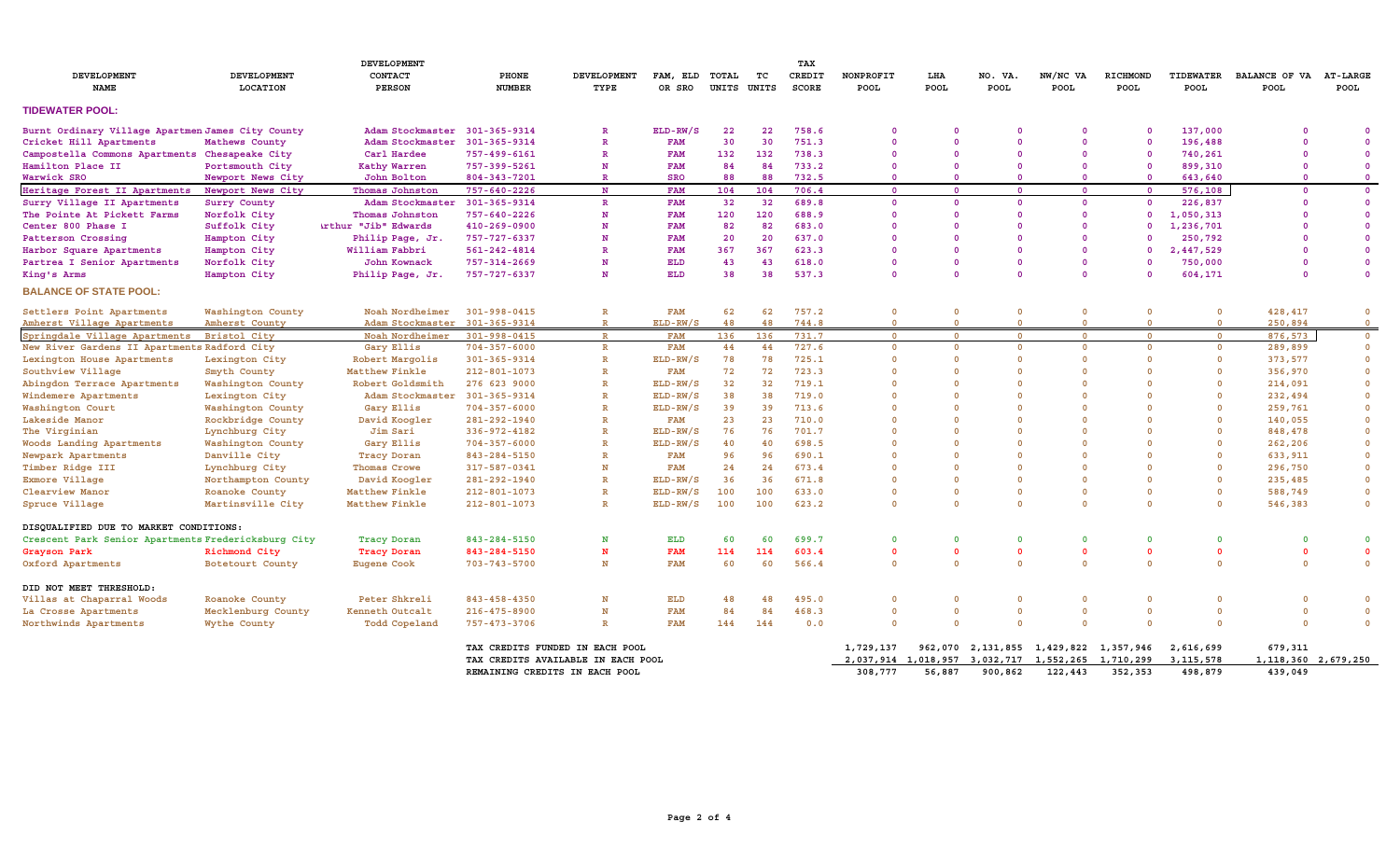| DEVELOPMENT                                         |                         |                               |                                |                                    |                          |       |             | TAX             |                   |                    |                 |                                                   |                         |                          |                                       |                         |
|-----------------------------------------------------|-------------------------|-------------------------------|--------------------------------|------------------------------------|--------------------------|-------|-------------|-----------------|-------------------|--------------------|-----------------|---------------------------------------------------|-------------------------|--------------------------|---------------------------------------|-------------------------|
| DEVELOPMENT<br><b>NAME</b>                          | DEVELOPMENT<br>LOCATION | CONTACT<br><b>PERSON</b>      | PHONE<br><b>NUMBER</b>         | <b>DEVELOPMENT</b><br>TYPE         | FAM, ELD TOTAL<br>OR SRO | UNITS | TC<br>UNITS | CREDIT<br>SCORE | NONPROFIT<br>POOL | LHA<br><b>POOL</b> | NO. VA.<br>POOL | NW/NC VA<br><b>POOL</b>                           | RICHMOND<br><b>POOL</b> | TIDEWATER<br><b>POOL</b> | BALANCE OF VA AT-LARGE<br><b>POOL</b> | POOL                    |
| <b>TIDEWATER POOL:</b>                              |                         |                               |                                |                                    |                          |       |             |                 |                   |                    |                 |                                                   |                         |                          |                                       |                         |
| Burnt Ordinary Village Apartmen James City County   |                         | Adam Stockmaster 301-365-9314 |                                | $\mathbb{R}$                       | ELD-RW/S                 | 22    | 22          | 758.6           |                   | $\Omega$           | $\Omega$        | $\Omega$                                          | $\Omega$                | 137,000                  | - 0                                   | - 0                     |
| Cricket Hill Apartments                             | Mathews County          | Adam Stockmaster 301-365-9314 |                                | $\mathbb{R}$                       | <b>FAM</b>               | 30    | 30          | 751.3           | $\Omega$          | $\Omega$           | $\Omega$        | $\Omega$                                          | $\overline{\mathbf{0}}$ | 196,488                  | -0                                    | - 0                     |
| Campostella Commons Apartments Chesapeake City      |                         | Carl Hardee                   | 757-499-6161                   | $\mathbb{R}$                       | <b>FAM</b>               | 132   | 132         | 738.3           | $\Omega$          | $\Omega$           | $\Omega$        | $\Omega$                                          | $\overline{\mathbf{0}}$ | 740,261                  | - 0                                   | $\overline{\mathbf{0}}$ |
| Hamilton Place II                                   | Portsmouth City         | Kathy Warren                  | 757-399-5261                   | N                                  | <b>FAM</b>               | 84    | 84          | 733.2           | $\Omega$          |                    | $\Omega$        | $\Omega$                                          | $\overline{\mathbf{0}}$ | 899,310                  | $\Omega$                              | $\overline{\mathbf{0}}$ |
| Warwick SRO                                         | Newport News City       | John Bolton                   | 804-343-7201                   | $\mathbb{R}$                       | <b>SRO</b>               | 88    | 88          | 732.5           | $\Omega$          | $\Omega$           | $\Omega$        | $\Omega$                                          | $\overline{\mathbf{0}}$ | 643,640                  | $\Omega$                              | $\overline{\mathbf{0}}$ |
| Heritage Forest II Apartments                       | Newport News City       | Thomas Johnston               | 757-640-2226                   | N                                  | <b>FAM</b>               | 104   | 104         | 706.4           | $\Omega$          | $\Omega$           | $\Omega$        | $\Omega$                                          | $\overline{\mathbf{0}}$ | 576,108                  | $\Omega$                              | $\overline{0}$          |
| Surry Village II Apartments                         | Surry County            | Adam Stockmaster 301-365-9314 |                                | $\mathbb{R}$                       | <b>FAM</b>               | 32    | 32          | 689.8           | $\Omega$          | $\Omega$           | $\Omega$        | $\Omega$                                          | $\overline{\mathbf{0}}$ | 226,837                  | $\Omega$                              | $\overline{\mathbf{0}}$ |
| The Pointe At Pickett Farms                         | Norfolk City            | Thomas Johnston               | 757-640-2226                   | N                                  | <b>FAM</b>               | 120   | 120         | 688.9           |                   | $\Omega$           | $\Omega$        | $\Omega$                                          | $\Omega$                | 1,050,313                |                                       | $\overline{\mathbf{0}}$ |
| Center 800 Phase I                                  | Suffolk City            | <b>irthur "Jib" Edwards</b>   | 410-269-0900                   | N                                  | <b>FAM</b>               | 82    | 82          | 683.0           |                   | $\Omega$           | $\Omega$        | $\Omega$                                          | $\Omega$                | 1,236,701                |                                       | $\mathbf{0}$            |
| Patterson Crossing                                  | Hampton City            | Philip Page, Jr.              | 757-727-6337                   | N                                  | <b>FAM</b>               | 20    | 20          | 637.0           |                   | $\Omega$           | $\Omega$        | $\Omega$                                          |                         | 250,792                  |                                       | $\overline{0}$          |
| Harbor Square Apartments                            | Hampton City            | William Fabbri                | 561-242-4814                   | $\mathbb{R}$                       | <b>FAM</b>               | 367   | 367         | 623.3           |                   | $\Omega$           | $\Omega$        | $\Omega$                                          | $\Omega$                | 2,447,529                |                                       | $\mathbf{0}$            |
| Partrea I Senior Apartments                         | Norfolk City            | John Kownack                  | 757-314-2669                   | N                                  | <b>ELD</b>               | 43    | 43          | 618.0           |                   | $\Omega$           | $\Omega$        | $\Omega$                                          | $\Omega$                | 750,000                  | - 0                                   | $\overline{\mathbf{0}}$ |
| King's Arms                                         | Hampton City            | Philip Page, Jr.              | 757-727-6337                   | N                                  | <b>ELD</b>               | 38    | 38          | 537.3           | $\Omega$          | $\Omega$           | $\Omega$        | $\Omega$                                          | $\Omega$                | 604,171                  | $\Omega$                              | $\overline{0}$          |
| <b>BALANCE OF STATE POOL:</b>                       |                         |                               |                                |                                    |                          |       |             |                 |                   |                    |                 |                                                   |                         |                          |                                       |                         |
| Settlers Point Apartments                           | Washington County       | Noah Nordheimer               | $301 - 998 - 0415$             | $\mathbb R$                        | <b>FAM</b>               | 62    | 62          | 757.2           | $\Omega$          | $\mathbf 0$        | $\mathbf 0$     | $\Omega$                                          | $\mathbf 0$             | $\mathbf 0$              | 428,417                               | $\overline{\mathbf{0}}$ |
| Amherst Village Apartments                          | Amherst County          | Adam Stockmaster 301-365-9314 |                                | $\mathbb{R}$                       | ELD-RW/S                 | 48    | 48          | 744.8           | $\Omega$          | $\Omega$           | $\overline{0}$  | $\mathbf{0}$                                      | $\mathbf 0$             | $\mathbf{0}$             | 250,894                               | $\mathbf{O}$            |
| Springdale Village Apartments                       | <b>Bristol City</b>     | Noah Nordheimer               | 301-998-0415                   | $\mathbf R$                        | <b>FAM</b>               | 136   | 136         | 731.7           | $\mathbf{0}$      | $\Omega$           | $\mathbf{O}$    | $\overline{0}$                                    | $\mathbf 0$             | $\mathbf 0$              | 876,573                               | $\mathbf{0}$            |
| New River Gardens II Apartments Radford City        |                         | Gary Ellis                    | $704 - 357 - 6000$             | $\mathbb{R}$                       | <b>FAM</b>               | 44    | 44          | 727.6           | $\Omega$          | $\mathbf 0$        | $\mathbf 0$     | $\mathbf{0}$                                      | $\overline{\mathbf{0}}$ | $\mathbf{O}$             | 289,899                               | $\overline{\mathbf{0}}$ |
| Lexington House Apartments                          | Lexington City          | Robert Margolis               | 301-365-9314                   | $\mathbb{R}$                       | $ELD-RW/S$               | 78    | 78          | 725.1           |                   | $\Omega$           | $\Omega$        | $\Omega$                                          | $\mathbf 0$             | $\mathbf 0$              | 373,577                               | $\overline{\mathbf{0}}$ |
| Southview Village                                   | Smyth County            | Matthew Finkle                | $212 - 801 - 1073$             | $\mathbb{R}$                       | <b>FAM</b>               | 72    | 72          | 723.3           |                   | $\Omega$           | $\Omega$        | $\Omega$                                          | $\Omega$                | $\Omega$                 | 356,970                               | $\overline{0}$          |
| Abingdon Terrace Apartments                         | Washington County       | Robert Goldsmith              | 276 623 9000                   | $\mathbb{R}$                       | ELD-RW/S                 | 32    | 32          | 719.1           |                   | $\Omega$           | $\Omega$        | $\Omega$                                          | $\Omega$                | $\Omega$                 | 214,091                               | $\overline{0}$          |
| Windemere Apartments                                | Lexington City          | Adam Stockmaster 301-365-9314 |                                | $\mathbb{R}$                       | $ELD-RW/S$               | 38    | 38          | 719.0           |                   | $\Omega$           | $\Omega$        | $\Omega$                                          | $\Omega$                | $\Omega$                 | 232,494                               | $\overline{0}$          |
| Washington Court                                    | Washington County       | Gary Ellis                    | $704 - 357 - 6000$             | $\mathbb{R}$                       | ELD-RW/S                 | 39    | 39          | 713.6           |                   | $\Omega$           | $\Omega$        | $\Omega$                                          | $\Omega$                | $\Omega$                 | 259,761                               | $\overline{\mathbf{0}}$ |
| Lakeside Manor                                      | Rockbridge County       | David Koogler                 | 281-292-1940                   | $\mathbb{R}$                       | <b>FAM</b>               | 23    | 23          | 710.0           |                   | $\Omega$           | $\Omega$        | $\Omega$                                          | $\Omega$                | $\Omega$                 | 140,055                               | $\overline{\mathbf{0}}$ |
| The Virginian                                       | Lynchburg City          | Jim Sari                      | $336 - 972 - 4182$             | $\mathbb{R}$                       | $ELD-RW/S$               | 76    | 76          | 701.7           |                   | $\mathbf{0}$       | $\Omega$        | $\Omega$                                          | $\Omega$                | $\Omega$                 | 848,478                               | $\overline{0}$          |
| Woods Landing Apartments                            | Washington County       | Gary Ellis                    | $704 - 357 - 6000$             | $\mathbb{R}$                       | ELD-RW/S                 | 40    | 40          | 698.5           |                   | $\Omega$           | $\Omega$        | $\Omega$                                          | $\Omega$                | $\Omega$                 | 262,206                               | $\overline{\mathbf{0}}$ |
| Newpark Apartments                                  | Danville City           | <b>Tracy Doran</b>            | 843-284-5150                   | $\mathbb{R}$                       | <b>FAM</b>               | 96    | 96          | 690.1           |                   | $\Omega$           | $\Omega$        | $\Omega$                                          | $\Omega$                | $\Omega$                 | 633,911                               | $\overline{\mathbf{0}}$ |
| Timber Ridge III                                    | Lynchburg City          | Thomas Crowe                  | 317-587-0341                   | N                                  | <b>FAM</b>               | 24    | 24          | 673.4           |                   | $\Omega$           | $\Omega$        | $\Omega$                                          | $\mathbf{0}$            | $\Omega$                 | 296,750                               | $\overline{\mathbf{0}}$ |
| Exmore Village                                      | Northampton County      | David Koogler                 | 281-292-1940                   | $\mathbb{R}$                       | ELD-RW/S                 | 36    | 36          | 671.8           |                   | $\Omega$           | $\Omega$        | $\Omega$                                          | $\Omega$                | $\Omega$                 | 235,485                               | $\overline{0}$          |
| Clearview Manor                                     | Roanoke County          | Matthew Finkle                | 212-801-1073                   | $\mathbb{R}$                       | ELD-RW/S                 | 100   | 100         | 633.0           |                   | $\mathbf 0$        | $\Omega$        | $\Omega$                                          | $\Omega$                | $\Omega$                 | 588,749                               | $\overline{\mathbf{0}}$ |
| Spruce Village                                      | Martinsville City       | Matthew Finkle                | 212-801-1073                   | $\mathbb{R}$                       | ELD-RW/S                 | 100   | 100         | 623.2           | $\Omega$          | $\mathbf 0$        | $\Omega$        | $\Omega$                                          | $\Omega$                | $\mathbf 0$              | 546,383                               | $\overline{\mathbf{0}}$ |
| DISQUALIFIED DUE TO MARKET CONDITIONS:              |                         |                               |                                |                                    |                          |       |             |                 |                   |                    |                 |                                                   |                         |                          |                                       |                         |
| Crescent Park Senior Apartments Fredericksburg City |                         | <b>Tracy Doran</b>            | 843-284-5150                   | N                                  | ELD                      | 60    | 60          | 699.7           |                   | $\Omega$           | $\Omega$        | $\Omega$                                          | $\Omega$                | $\Omega$                 | $\Omega$                              | $\mathbf{0}$            |
| Grayson Park                                        | Richmond City           | <b>Tracy Doran</b>            | 843-284-5150                   | N                                  | <b>FAM</b>               | 114   | 114         | 603.4           | $\Omega$          | $\Omega$           | $\Omega$        | $\Omega$                                          | $\mathbf{0}$            | $\Omega$                 | $\Omega$                              | $\mathbf{0}$            |
| Oxford Apartments                                   | Botetourt County        | <b>Eugene Cook</b>            | $703 - 743 - 5700$             | N                                  | <b>FAM</b>               | 60    | 60          | 566.4           | $\Omega$          | $\Omega$           | $\Omega$        | $\Omega$                                          | $\Omega$                | $\Omega$                 | $\Omega$                              | $\Omega$                |
| DID NOT MEET THRESHOLD:                             |                         |                               |                                |                                    |                          |       |             |                 |                   |                    |                 |                                                   |                         |                          |                                       |                         |
| Villas at Chaparral Woods                           | Roanoke County          | Peter Shkreli                 | $843 - 458 - 4350$             | N                                  | ELD                      | 48    | 48          | 495.0           |                   | $\Omega$           | $\Omega$        | $\Omega$                                          | $\Omega$                | $\Omega$                 | $\Omega$                              | $\overline{\mathbf{0}}$ |
| La Crosse Apartments                                | Mecklenburg County      | Kenneth Outcalt               | $216 - 475 - 8900$             | N                                  | <b>FAM</b>               | 84    | 84          | 468.3           | $\Omega$          | $\mathbf 0$        | $\Omega$        | $\Omega$                                          | $\overline{\mathbf{0}}$ | $\Omega$                 | $\Omega$                              | $\overline{\mathbf{0}}$ |
| Northwinds Apartments                               | Wythe County            | Todd Copeland                 | 757-473-3706                   | $\mathbb{R}$                       | <b>FAM</b>               | 144   | 144         | 0.0             | $\Omega$          | $\Omega$           | $\Omega$        | $\Omega$                                          | $\overline{0}$          | $\Omega$                 | $\Omega$                              | $\overline{\mathbf{0}}$ |
|                                                     |                         |                               |                                | TAX CREDITS FUNDED IN EACH POOL    |                          |       |             |                 | 1,729,137         |                    |                 | 962,070 2,131,855 1,429,822 1,357,946             |                         | 2,616,699                | 679,311                               |                         |
|                                                     |                         |                               |                                | TAX CREDITS AVAILABLE IN EACH POOL |                          |       |             |                 |                   |                    |                 | 2,037,914 1,018,957 3,032,717 1,552,265 1,710,299 |                         | 3, 115, 578              | 1, 118, 360 2, 679, 250               |                         |
|                                                     |                         |                               | REMAINING CREDITS IN EACH POOL |                                    |                          |       |             |                 | 308,777           | 56,887             | 900,862         | 122,443                                           | 352,353                 | 498,879                  | 439,049                               |                         |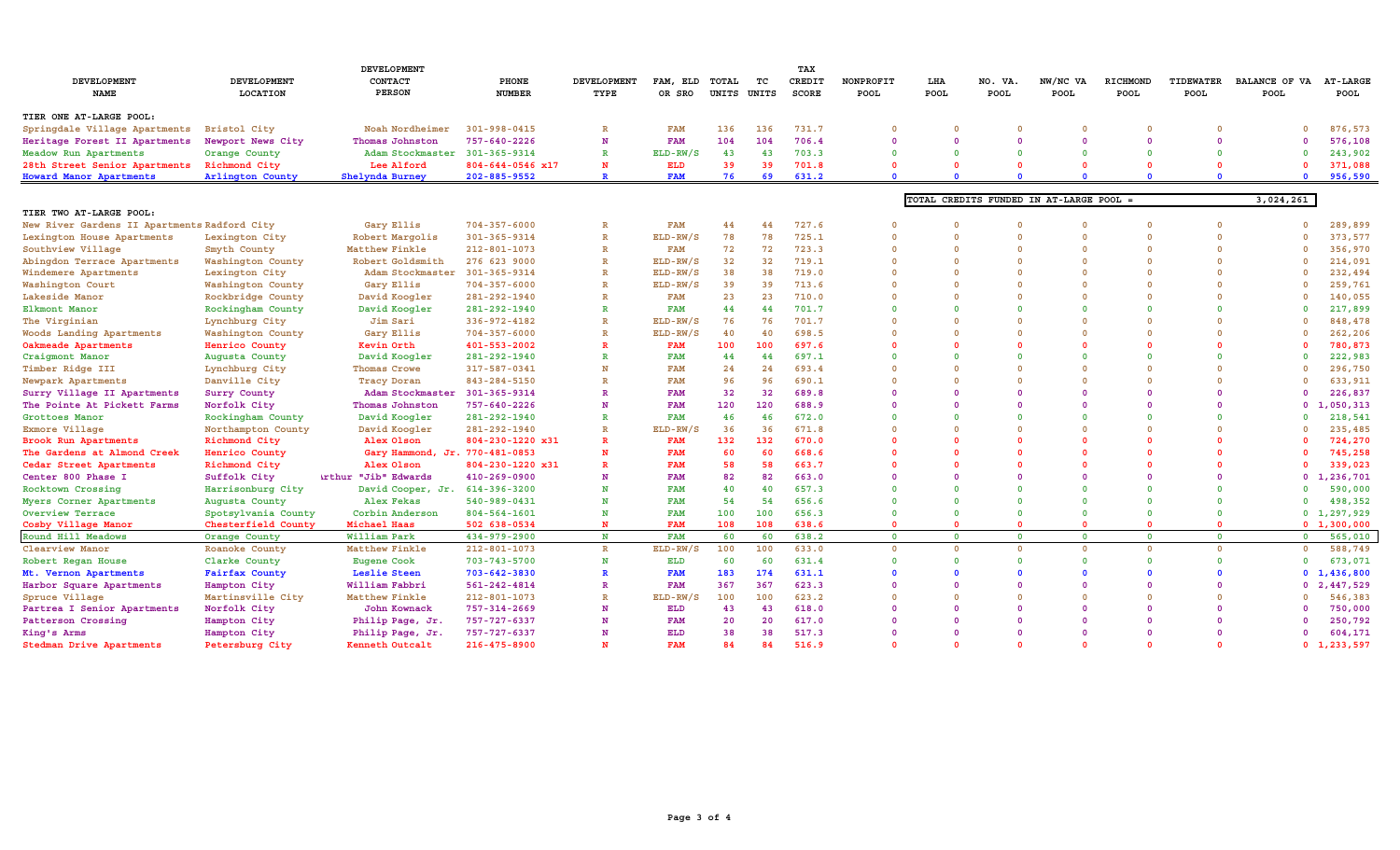| <b>DEVELOPMENT</b>                           |                     |                                |                    |                    |                |             |                 | TAX    |                |             |          |                                         |                |                |                |                 |
|----------------------------------------------|---------------------|--------------------------------|--------------------|--------------------|----------------|-------------|-----------------|--------|----------------|-------------|----------|-----------------------------------------|----------------|----------------|----------------|-----------------|
| DEVELOPMENT                                  | <b>DEVELOPMENT</b>  | CONTACT                        | <b>PHONE</b>       | <b>DEVELOPMENT</b> | FAM, ELD TOTAL |             | TC              | CREDIT | NONPROFIT      | LHA         | NO. VA.  | NW/NC VA                                | RICHMOND       | TIDEWATER      | BALANCE OF VA  | <b>AT-LARGE</b> |
| NAME                                         | LOCATION            | <b>PERSON</b>                  | <b>NUMBER</b>      | TYPE               | OR SRO         | UNITS UNITS |                 | SCORE  | <b>POOL</b>    | <b>POOL</b> | POOL     | POOL                                    | POOL           | POOL           | POOL           | POOL            |
| TIER ONE AT-LARGE POOL:                      |                     |                                |                    |                    |                |             |                 |        |                |             |          |                                         |                |                |                |                 |
| Springdale Village Apartments                | <b>Bristol City</b> | Noah Nordheimer                | $301 - 998 - 0415$ | $\mathbb{R}$       | <b>FAM</b>     | 136         | 136             | 731.7  | $\Omega$       | $\Omega$    |          | $\Omega$                                | $\Omega$       | $\Omega$       | $\Omega$       | 876,573         |
| Heritage Forest II Apartments                | Newport News City   | Thomas Johnston                | 757-640-2226       | N                  | <b>FAM</b>     | 104         | 104             | 706.4  | $\Omega$       | $\Omega$    | $\Omega$ | $\Omega$                                | $\Omega$       | $\Omega$       | n              | 576,108         |
| Meadow Run Apartments                        | Orange County       | Adam Stockmaster 301-365-9314  |                    | $\mathbb{R}$       | ELD-RW/S       | 43          | 43              | 703.3  | $\Omega$       |             |          | $\Omega$                                | $\Omega$       | $\Omega$       | n              | 243,902         |
| 28th Street Senior Apartments                | Richmond City       | Lee Alford                     | 804-644-0546 x17   | N                  | ELD            | 39          | 39              | 701.8  | $\Omega$       |             |          |                                         | $\Omega$       | $\Omega$       |                | 371,088         |
| Howard Manor Apartments                      | Arlington County    | Shelynda Burney                | 202-885-9552       | $\mathbb{R}$       | <b>FAM</b>     | 76          | 69              | 631.2  | $\Omega$       |             |          |                                         | $\Omega$       | $\Omega$       | $\Omega$       | 956,590         |
|                                              |                     |                                |                    |                    |                |             |                 |        |                |             |          | TOTAL CREDITS FUNDED IN AT-LARGE POOL = |                |                | 3,024,261      |                 |
| TIER TWO AT-LARGE POOL:                      |                     |                                |                    |                    |                |             |                 |        |                |             |          |                                         |                |                |                |                 |
| New River Gardens II Apartments Radford City |                     | Gary Ellis                     | $704 - 357 - 6000$ | $\mathbb{R}$       | <b>FAM</b>     | 44          | 44              | 727.6  |                | $\Omega$    |          | $\Omega$                                | $\Omega$       | $\Omega$       |                | 289,899         |
| Lexington House Apartments                   | Lexington City      | Robert Margolis                | 301-365-9314       | $\mathbb{R}$       | ELD-RW/S       | 78          | 78              | 725.1  | $\Omega$       | $\Omega$    | $\Omega$ | $\Omega$                                | $\Omega$       | $\Omega$       |                | 373,577         |
| Southview Village                            | Smyth County        | Matthew Finkle                 | 212-801-1073       | $\mathbb{R}$       | <b>FAM</b>     | 72          | 72              | 723.3  | $\Omega$       |             |          | $\Omega$                                | $\mathbf{0}$   | $\Omega$       |                | 356,970         |
| Abingdon Terrace Apartments                  | Washington County   | Robert Goldsmith               | 276 623 9000       | $\mathbb{R}$       | ELD-RW/S       | 32          | 32 <sub>2</sub> | 719.1  | $\Omega$       | $\Omega$    | $\Omega$ | $\Omega$                                | $\mathbf{0}$   | $\Omega$       |                | 214,091         |
| Windemere Apartments                         | Lexington City      | Adam Stockmaster 301-365-9314  |                    | $\mathbb{R}$       | ELD-RW/S       | 38          | 38              | 719.0  | $\Omega$       |             |          | $\Omega$                                | $\Omega$       | $\Omega$       |                | 232,494         |
| Washington Court                             | Washington County   | Gary Ellis                     | $704 - 357 - 6000$ | $\mathbb{R}$       | ELD-RW/S       | 39          | 39              | 713.6  | $\Omega$       |             |          | $\Omega$                                | $\Omega$       | $\Omega$       |                | 259,761         |
| Lakeside Manor                               | Rockbridge County   | David Koogler                  | 281-292-1940       | $\mathbb{R}$       | <b>FAM</b>     | 23          | 23              | 710.0  |                |             |          | $\Omega$                                | $\Omega$       | $\Omega$       |                | 140,055         |
| Elkmont Manor                                | Rockingham County   | David Koogler                  | 281-292-1940       | $\mathbf R$        | <b>FAM</b>     | 44          | 44              | 701.7  | $\Omega$       |             |          | $\Omega$                                | $\Omega$       | $\Omega$       |                | 217,899         |
| The Virginian                                | Lynchburg City      | Jim Sari                       | 336-972-4182       | $\mathbb{R}$       | ELD-RW/S       | 76          | 76              | 701.7  |                |             |          |                                         |                | $\Omega$       |                | 848,478         |
| Woods Landing Apartments                     | Washington County   | Gary Ellis                     | $704 - 357 - 6000$ | $\mathbb{R}$       | ELD-RW/S       | 40          | 40              | 698.5  | $\Omega$       |             |          | $\Omega$                                | $\mathbf{0}$   | $\Omega$       |                | 262,206         |
| Oakmeade Apartments                          | Henrico County      | Kevin Orth                     | 401-553-2002       | R                  | <b>FAM</b>     | 100         | 100             | 697.6  |                |             |          |                                         | $\Omega$       |                |                | 780,873         |
| Craigmont Manor                              | Augusta County      | David Koogler                  | 281-292-1940       | R                  | <b>FAM</b>     | 44          | 44              | 697.1  | $\Omega$       |             |          | $\Omega$                                | $\Omega$       | $\Omega$       |                | 222,983         |
| Timber Ridge III                             | Lynchburg City      | Thomas Crowe                   | 317-587-0341       | N                  | <b>FAM</b>     | 24          | 24              | 693.4  | $\Omega$       |             |          | $\Omega$                                | $\Omega$       | $\Omega$       |                | 296,750         |
| Newpark Apartments                           | Danville City       | <b>Tracy Doran</b>             | 843-284-5150       | $\mathbb{R}$       | <b>FAM</b>     | 96          | 96              | 690.1  | $\Omega$       | $\Omega$    |          | $\Omega$                                | $\Omega$       | $\Omega$       |                | 633,911         |
| Surry Village II Apartments                  | Surry County        | Adam Stockmaster 301-365-9314  |                    | R                  | <b>FAM</b>     | 32          | 32              | 689.8  | <sup>n</sup>   |             |          |                                         | $\Omega$       | $\Omega$       | O              | 226,837         |
| The Pointe At Pickett Farms                  | Norfolk City        | Thomas Johnston                | $757 - 640 - 2226$ | N                  | <b>FAM</b>     | 120         | 120             | 688.9  | $\Omega$       | $\Omega$    | $\Omega$ | $\Omega$                                | $\Omega$       | $\Omega$       |                | 0, 1, 050, 313  |
| Grottoes Manor                               | Rockingham County   | David Koogler                  | 281-292-1940       | R                  | <b>FAM</b>     | 46          | 46              | 672.0  | $\Omega$       |             |          | $\Omega$                                | $\Omega$       | $\Omega$       |                | 218,541         |
| Exmore Village                               | Northampton County  | David Koogler                  | 281-292-1940       | $\mathbb{R}$       | ELD-RW/S       | 36          | 36              | 671.8  | $\Omega$       |             |          | $\Omega$                                | $\Omega$       | $\Omega$       |                | 235,485         |
| Brook Run Apartments                         | Richmond City       | Alex Olson                     | 804-230-1220 x31   | R                  | <b>FAM</b>     | 132         | 132             | 670.0  |                |             |          | $\Omega$                                | $\Omega$       | $\Omega$       |                | 724,270         |
| The Gardens at Almond Creek                  | Henrico County      | Gary Hammond, Jr. 770-481-0853 |                    | N                  | <b>FAM</b>     | 60          | 60              | 668.6  |                |             |          |                                         | $\Omega$       | $\Omega$       |                | 745,258         |
| Cedar Street Apartments                      | Richmond City       | Alex Olson                     | 804-230-1220 x31   | $\mathbf R$        | <b>FAM</b>     | 58          | 58              | 663.7  | $\Omega$       |             |          | $\Omega$                                | $\Omega$       | $\Omega$       |                | 339,023         |
| Center 800 Phase I                           | Suffolk City        | <b>Arthur "Jib" Edwards</b>    | 410-269-0900       | N                  | <b>FAM</b>     | 82          | 82              | 663.0  | $\Omega$       |             |          | $\Omega$                                | $\Omega$       | $\Omega$       |                | 0, 1, 236, 701  |
| Rocktown Crossing                            | Harrisonburg City   | David Cooper, Jr. 614-396-3200 |                    | N                  | <b>FAM</b>     | 40          | 40              | 657.3  | $\Omega$       |             |          | $\Omega$                                | $\Omega$       | $\Omega$       |                | 590,000         |
| Myers Corner Apartments                      | Augusta County      | Alex Fekas                     | 540-989-0431       | N                  | <b>FAM</b>     | 54          | 54              | 656.6  | $\Omega$       |             |          | $\Omega$                                | $\Omega$       | $\Omega$       | $\Omega$       | 498,352         |
| Overview Terrace                             | Spotsylvania County | Corbin Anderson                | 804-564-1601       | N                  | <b>FAM</b>     | 100         | 100             | 656.3  | $\Omega$       |             |          | $\Omega$                                | $\mathbf{0}$   | $\Omega$       |                | 0, 1, 297, 929  |
| Cosby Village Manor                          | Chesterfield County | Michael Haas                   | 502 638-0534       | $\mathbf{N}$       | <b>FAM</b>     | 108         | 108             | 638.6  | $\Omega$       | $\Omega$    | $\Omega$ | $\Omega$                                | $\Omega$       | $\overline{0}$ |                | 0 1, 300, 000   |
| Round Hill Meadows                           | Orange County       | William Park                   | 434-979-2900       | $\mathbf N$        | <b>FAM</b>     | 60          | 60              | 638.2  | $\overline{0}$ | $\Omega$    | $\Omega$ | $\Omega$                                | $\overline{0}$ | $\overline{0}$ | $\overline{0}$ | 565,010         |
| Clearview Manor                              | Roanoke County      | Matthew Finkle                 | 212-801-1073       | $\mathbb{R}$       | ELD-RW/S       | 100         | 100             | 633.0  | $\Omega$       |             |          | $\Omega$                                | $\Omega$       | $\Omega$       | $\Omega$       | 588,749         |
| Robert Regan House                           | Clarke County       | <b>Eugene Cook</b>             | $703 - 743 - 5700$ | N                  | ELD            | 60          | 60              | 631.4  | $\Omega$       | $\Omega$    | $\Omega$ | $\Omega$                                | $\Omega$       | $\Omega$       | $\Omega$       | 673,071         |
| Mt. Vernon Apartments                        | Fairfax County      | Leslie Steen                   | 703-642-3830       | $\mathbf{R}$       | <b>FAM</b>     | 183         | 174             | 631.1  |                |             |          | $\Omega$                                | $\Omega$       | $\Omega$       |                | 0, 1, 436, 800  |
| Harbor Square Apartments                     | Hampton City        | William Fabbri                 | 561-242-4814       | R                  | <b>FAM</b>     | 367         | 367             | 623.3  | $\Omega$       |             |          | $\Omega$                                | $\Omega$       | $\Omega$       |                | 0, 2, 447, 529  |
| Spruce Village                               | Martinsville City   | Matthew Finkle                 | $212 - 801 - 1073$ | $\mathbb{R}$       | ELD-RW/S       | 100         | 100             | 623.2  | $\Omega$       |             |          | $\Omega$                                | $\Omega$       | $\Omega$       |                | 546,383         |
| Partrea I Senior Apartments                  | Norfolk City        | John Kownack                   | 757-314-2669       | N                  | ELD            | 43          | 43              | 618.0  | $\Omega$       |             |          | $\Omega$                                | $\Omega$       | $\Omega$       |                | 750,000         |
| Patterson Crossing                           | Hampton City        | Philip Page, Jr.               | 757-727-6337       | N                  | <b>FAM</b>     | 20          | 20              | 617.0  | $\Omega$       |             |          | $\Omega$                                | $\Omega$       | $\Omega$       |                | 250,792         |
| King's Arms                                  | Hampton City        | Philip Page, Jr.               | 757-727-6337       | N                  | ELD            | 38          | 38              | 517.3  | $\Omega$       | $\Omega$    | $\Omega$ | $\Omega$                                | - 0            | $\Omega$       |                | 604,171         |
| Stedman Drive Apartments                     | Petersburg City     | Kenneth Outcalt                | 216-475-8900       | N                  | <b>FAM</b>     | 84          | 84              | 516.9  | $\Omega$       | $\Omega$    | $\Omega$ | $\Omega$                                | $\Omega$       | $\Omega$       |                | 0, 1, 233, 597  |